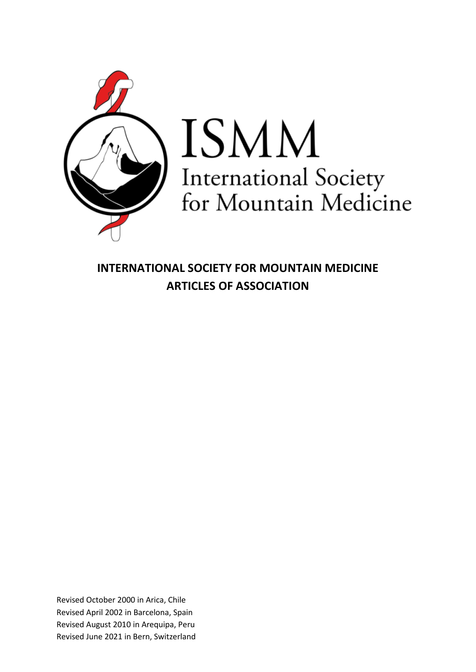

# ISMM International Society<br>for Mountain Medicine

**INTERNATIONAL SOCIETY FOR MOUNTAIN MEDICINE ARTICLES OF ASSOCIATION**

Revised October 2000 in Arica, Chile Revised April 2002 in Barcelona, Spain Revised August 2010 in Arequipa, Peru Revised June 2021 in Bern, Switzerland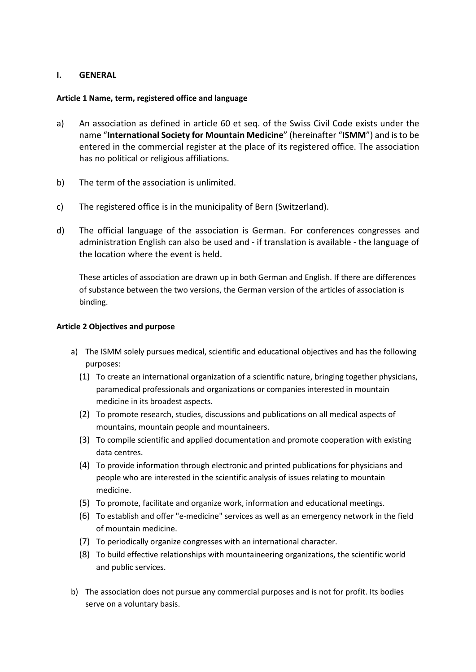# **I. GENERAL**

# **Article 1 Name, term, registered office and language**

- a) An association as defined in article 60 et seq. of the Swiss Civil Code exists under the name "**International Society for Mountain Medicine**" (hereinafter "**ISMM**") and is to be entered in the commercial register at the place of its registered office. The association has no political or religious affiliations.
- b) The term of the association is unlimited.
- c) The registered office is in the municipality of Bern (Switzerland).
- d) The official language of the association is German. For conferences congresses and administration English can also be used and - if translation is available - the language of the location where the event is held.

These articles of association are drawn up in both German and English. If there are differences of substance between the two versions, the German version of the articles of association is binding.

# **Article 2 Objectives and purpose**

- a) The ISMM solely pursues medical, scientific and educational objectives and has the following purposes:
	- (1) To create an international organization of a scientific nature, bringing together physicians, paramedical professionals and organizations or companies interested in mountain medicine in its broadest aspects.
	- (2) To promote research, studies, discussions and publications on all medical aspects of mountains, mountain people and mountaineers.
	- (3) To compile scientific and applied documentation and promote cooperation with existing data centres.
	- (4) To provide information through electronic and printed publications for physicians and people who are interested in the scientific analysis of issues relating to mountain medicine.
	- (5) To promote, facilitate and organize work, information and educational meetings.
	- (6) To establish and offer "e-medicine" services as well as an emergency network in the field of mountain medicine.
	- (7) To periodically organize congresses with an international character.
	- (8) To build effective relationships with mountaineering organizations, the scientific world and public services.
- b) The association does not pursue any commercial purposes and is not for profit. Its bodies serve on a voluntary basis.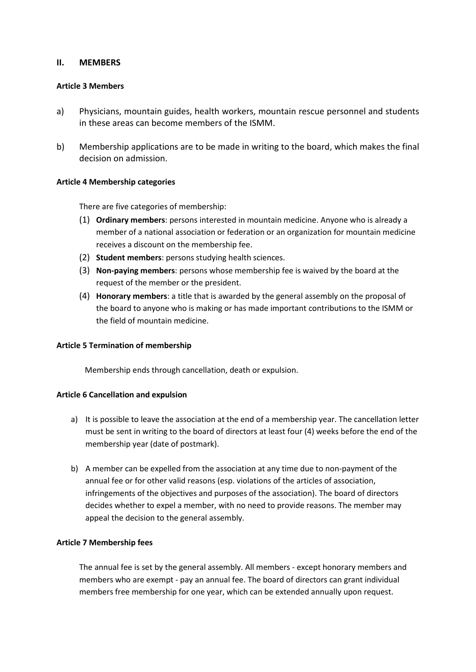# **II. MEMBERS**

## **Article 3 Members**

- a) Physicians, mountain guides, health workers, mountain rescue personnel and students in these areas can become members of the ISMM.
- b) Membership applications are to be made in writing to the board, which makes the final decision on admission.

# **Article 4 Membership categories**

There are five categories of membership:

- (1) **Ordinary members**: persons interested in mountain medicine. Anyone who is already a member of a national association or federation or an organization for mountain medicine receives a discount on the membership fee.
- (2) **Student members**: persons studying health sciences.
- (3) **Non-paying members**: persons whose membership fee is waived by the board at the request of the member or the president.
- (4) **Honorary members**: a title that is awarded by the general assembly on the proposal of the board to anyone who is making or has made important contributions to the ISMM or the field of mountain medicine.

### **Article 5 Termination of membership**

Membership ends through cancellation, death or expulsion.

### **Article 6 Cancellation and expulsion**

- a) It is possible to leave the association at the end of a membership year. The cancellation letter must be sent in writing to the board of directors at least four (4) weeks before the end of the membership year (date of postmark).
- b) A member can be expelled from the association at any time due to non-payment of the annual fee or for other valid reasons (esp. violations of the articles of association, infringements of the objectives and purposes of the association). The board of directors decides whether to expel a member, with no need to provide reasons. The member may appeal the decision to the general assembly.

### **Article 7 Membership fees**

The annual fee is set by the general assembly. All members - except honorary members and members who are exempt - pay an annual fee. The board of directors can grant individual members free membership for one year, which can be extended annually upon request.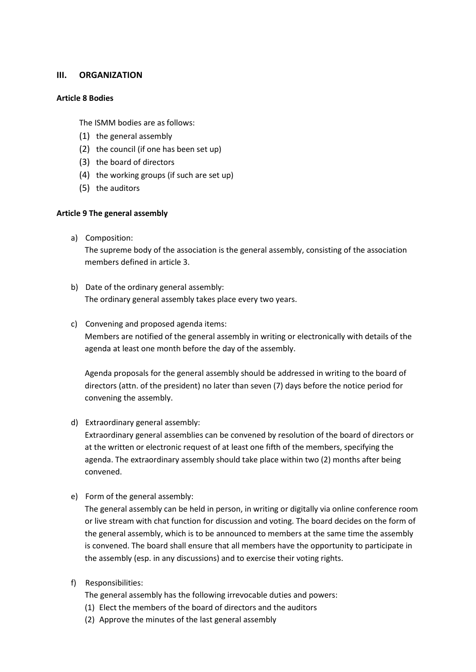# **III. ORGANIZATION**

## **Article 8 Bodies**

The ISMM bodies are as follows:

- (1) the general assembly
- (2) the council (if one has been set up)
- (3) the board of directors
- (4) the working groups (if such are set up)
- (5) the auditors

# **Article 9 The general assembly**

a) Composition:

The supreme body of the association is the general assembly, consisting of the association members defined in article 3.

- b) Date of the ordinary general assembly: The ordinary general assembly takes place every two years.
- c) Convening and proposed agenda items:

Members are notified of the general assembly in writing or electronically with details of the agenda at least one month before the day of the assembly.

Agenda proposals for the general assembly should be addressed in writing to the board of directors (attn. of the president) no later than seven (7) days before the notice period for convening the assembly.

d) Extraordinary general assembly:

Extraordinary general assemblies can be convened by resolution of the board of directors or at the written or electronic request of at least one fifth of the members, specifying the agenda. The extraordinary assembly should take place within two (2) months after being convened.

e) Form of the general assembly:

The general assembly can be held in person, in writing or digitally via online conference room or live stream with chat function for discussion and voting. The board decides on the form of the general assembly, which is to be announced to members at the same time the assembly is convened. The board shall ensure that all members have the opportunity to participate in the assembly (esp. in any discussions) and to exercise their voting rights.

f) Responsibilities:

The general assembly has the following irrevocable duties and powers:

- (1) Elect the members of the board of directors and the auditors
- (2) Approve the minutes of the last general assembly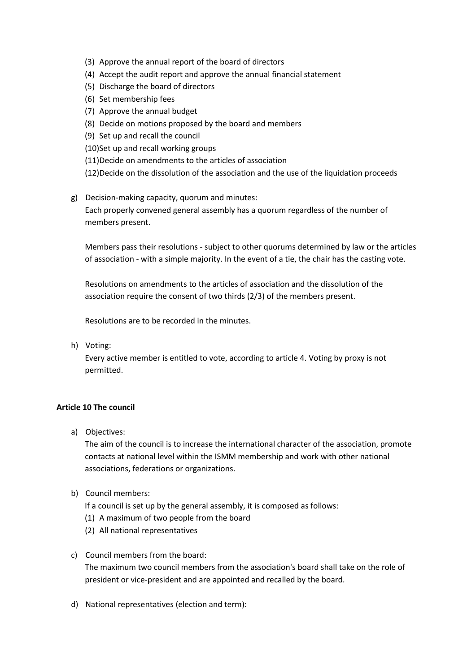- (3) Approve the annual report of the board of directors
- (4) Accept the audit report and approve the annual financial statement
- (5) Discharge the board of directors
- (6) Set membership fees
- (7) Approve the annual budget
- (8) Decide on motions proposed by the board and members
- (9) Set up and recall the council
- (10)Set up and recall working groups
- (11)Decide on amendments to the articles of association
- (12)Decide on the dissolution of the association and the use of the liquidation proceeds
- g) Decision-making capacity, quorum and minutes:

Each properly convened general assembly has a quorum regardless of the number of members present.

Members pass their resolutions - subject to other quorums determined by law or the articles of association - with a simple majority. In the event of a tie, the chair has the casting vote.

Resolutions on amendments to the articles of association and the dissolution of the association require the consent of two thirds (2/3) of the members present.

Resolutions are to be recorded in the minutes.

h) Voting:

Every active member is entitled to vote, according to article 4. Voting by proxy is not permitted.

## **Article 10 The council**

a) Objectives:

The aim of the council is to increase the international character of the association, promote contacts at national level within the ISMM membership and work with other national associations, federations or organizations.

b) Council members:

If a council is set up by the general assembly, it is composed as follows:

- (1) A maximum of two people from the board
- (2) All national representatives
- c) Council members from the board: The maximum two council members from the association's board shall take on the role of president or vice-president and are appointed and recalled by the board.
- d) National representatives (election and term):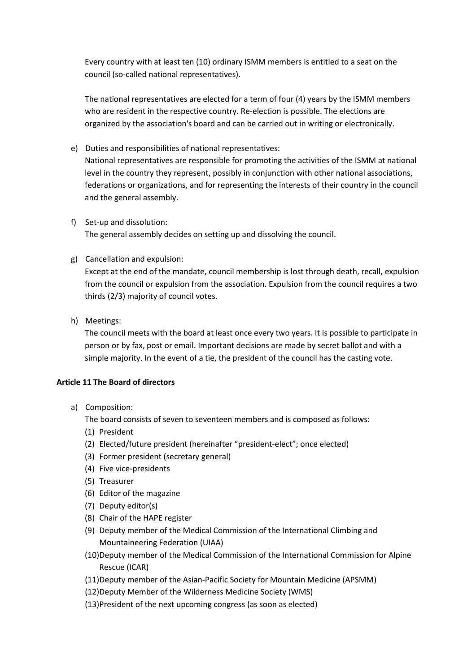Every country with at least ten (10) ordinary ISMM members is entitled to a seat on the council (so-called national representatives).

The national representatives are elected for a term of four (4) years by the ISMM members who are resident in the respective country. Re-election is possible. The elections are organized by the association's board and can be carried out in writing or electronically.

- e) Duties and responsibilities of national representatives: National representatives are responsible for promoting the activities of the ISMM at national level in the country they represent, possibly in conjunction with other national associations, federations or organizations, and for representing the interests of their country in the council and the general assembly.
- f) Set-up and dissolution: The general assembly decides on setting up and dissolving the council.
- g) Cancellation and expulsion:

Except at the end of the mandate, council membership is lost through death, recall, expulsion from the council or expulsion from the association. Expulsion from the council requires a two thirds (2/3) majority of council votes.

h) Meetings:

The council meets with the board at least once every two years. It is possible to participate in person or by fax, post or email. Important decisions are made by secret ballot and with a simple majority. In the event of a tie, the president of the council has the casting vote.

# **Article 11 The Board of directors**

a) Composition:

The board consists of seven to seventeen members and is composed as follows:

- (1) President
- (2) Elected/future president (hereinafter "president-elect"; once elected)
- (3) Former president (secretary general)
- (4) Five vice-presidents
- (5) Treasurer
- (6) Editor of the magazine
- (7) Deputy editor(s)
- (8) Chair of the HAPE register
- (9) Deputy member of the Medical Commission of the International Climbing and Mountaineering Federation (UIAA)
- (10)Deputy member of the Medical Commission of the International Commission for Alpine Rescue (ICAR)
- (11)Deputy member of the Asian-Pacific Society for Mountain Medicine (APSMM)
- (12)Deputy Member of the Wilderness Medicine Society (WMS)
- (13)President of the next upcoming congress (as soon as elected)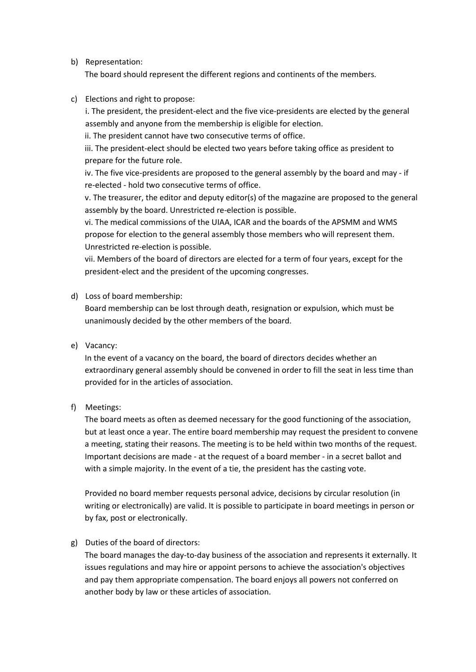b) Representation:

The board should represent the different regions and continents of the members.

c) Elections and right to propose:

i. The president, the president-elect and the five vice-presidents are elected by the general assembly and anyone from the membership is eligible for election.

ii. The president cannot have two consecutive terms of office.

iii. The president-elect should be elected two years before taking office as president to prepare for the future role.

iv. The five vice-presidents are proposed to the general assembly by the board and may - if re-elected - hold two consecutive terms of office.

v. The treasurer, the editor and deputy editor(s) of the magazine are proposed to the general assembly by the board. Unrestricted re-election is possible.

vi. The medical commissions of the UIAA, ICAR and the boards of the APSMM and WMS propose for election to the general assembly those members who will represent them. Unrestricted re-election is possible.

vii. Members of the board of directors are elected for a term of four years, except for the president-elect and the president of the upcoming congresses.

d) Loss of board membership:

Board membership can be lost through death, resignation or expulsion, which must be unanimously decided by the other members of the board.

e) Vacancy:

In the event of a vacancy on the board, the board of directors decides whether an extraordinary general assembly should be convened in order to fill the seat in less time than provided for in the articles of association.

f) Meetings:

The board meets as often as deemed necessary for the good functioning of the association, but at least once a year. The entire board membership may request the president to convene a meeting, stating their reasons. The meeting is to be held within two months of the request. Important decisions are made - at the request of a board member - in a secret ballot and with a simple majority. In the event of a tie, the president has the casting vote.

Provided no board member requests personal advice, decisions by circular resolution (in writing or electronically) are valid. It is possible to participate in board meetings in person or by fax, post or electronically.

g) Duties of the board of directors:

The board manages the day-to-day business of the association and represents it externally. It issues regulations and may hire or appoint persons to achieve the association's objectives and pay them appropriate compensation. The board enjoys all powers not conferred on another body by law or these articles of association.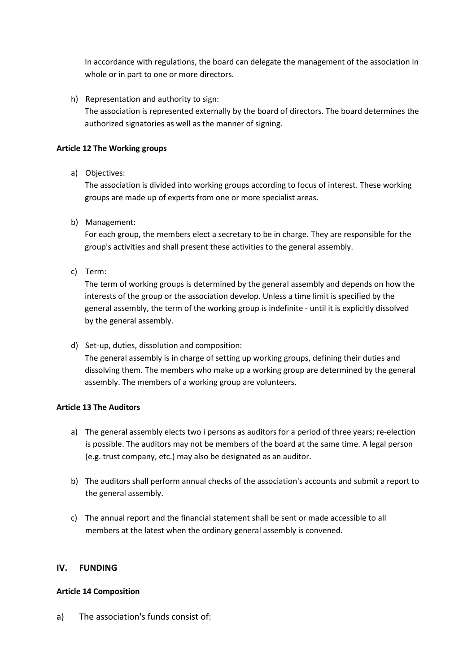In accordance with regulations, the board can delegate the management of the association in whole or in part to one or more directors.

h) Representation and authority to sign: The association is represented externally by the board of directors. The board determines the authorized signatories as well as the manner of signing.

# **Article 12 The Working groups**

a) Objectives:

The association is divided into working groups according to focus of interest. These working groups are made up of experts from one or more specialist areas.

b) Management:

For each group, the members elect a secretary to be in charge. They are responsible for the group's activities and shall present these activities to the general assembly.

c) Term:

The term of working groups is determined by the general assembly and depends on how the interests of the group or the association develop. Unless a time limit is specified by the general assembly, the term of the working group is indefinite - until it is explicitly dissolved by the general assembly.

d) Set-up, duties, dissolution and composition: The general assembly is in charge of setting up working groups, defining their duties and dissolving them. The members who make up a working group are determined by the general assembly. The members of a working group are volunteers.

# **Article 13 The Auditors**

- a) The general assembly elects two i persons as auditors for a period of three years; re-election is possible. The auditors may not be members of the board at the same time. A legal person (e.g. trust company, etc.) may also be designated as an auditor.
- b) The auditors shall perform annual checks of the association's accounts and submit a report to the general assembly.
- c) The annual report and the financial statement shall be sent or made accessible to all members at the latest when the ordinary general assembly is convened.

# **IV. FUNDING**

# **Article 14 Composition**

a) The association's funds consist of: